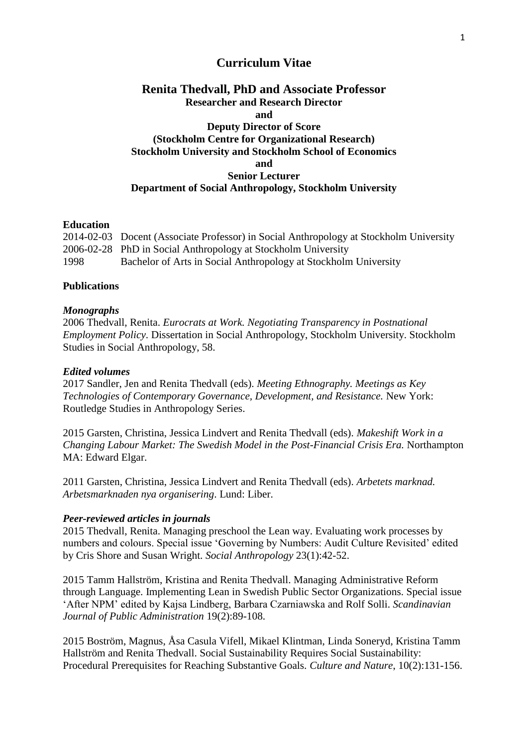# **Curriculum Vitae**

# **Renita Thedvall, PhD and Associate Professor Researcher and Research Director and Deputy Director of Score (Stockholm Centre for Organizational Research) Stockholm University and Stockholm School of Economics and Senior Lecturer Department of Social Anthropology, Stockholm University**

## **Education**

2014-02-03 Docent (Associate Professor) in Social Anthropology at Stockholm University 2006-02-28 PhD in Social Anthropology at Stockholm University 1998 Bachelor of Arts in Social Anthropology at Stockholm University

## **Publications**

## *Monographs*

2006 Thedvall, Renita. *Eurocrats at Work. Negotiating Transparency in Postnational Employment Policy*. Dissertation in Social Anthropology, Stockholm University. Stockholm Studies in Social Anthropology, 58.

## *Edited volumes*

2017 Sandler, Jen and Renita Thedvall (eds). *Meeting Ethnography. Meetings as Key Technologies of Contemporary Governance, Development, and Resistance.* New York: Routledge Studies in Anthropology Series.

2015 Garsten, Christina, Jessica Lindvert and Renita Thedvall (eds). *Makeshift Work in a Changing Labour Market: The Swedish Model in the Post-Financial Crisis Era.* Northampton MA: Edward Elgar.

2011 Garsten, Christina, Jessica Lindvert and Renita Thedvall (eds). *Arbetets marknad. Arbetsmarknaden nya organisering*. Lund: Liber.

## *Peer-reviewed articles in journals*

2015 Thedvall, Renita. Managing preschool the Lean way. Evaluating work processes by numbers and colours. Special issue 'Governing by Numbers: Audit Culture Revisited' edited by Cris Shore and Susan Wright. *Social Anthropology* 23(1):42-52.

2015 Tamm Hallström, Kristina and Renita Thedvall. Managing Administrative Reform through Language. Implementing Lean in Swedish Public Sector Organizations. Special issue 'After NPM' edited by Kajsa Lindberg, Barbara Czarniawska and Rolf Solli. *Scandinavian Journal of Public Administration* 19(2):89-108.

2015 Boström, Magnus, Åsa Casula Vifell, Mikael Klintman, Linda Soneryd, Kristina Tamm Hallström and Renita Thedvall. Social Sustainability Requires Social Sustainability: Procedural Prerequisites for Reaching Substantive Goals. *Culture and Nature*, 10(2):131-156.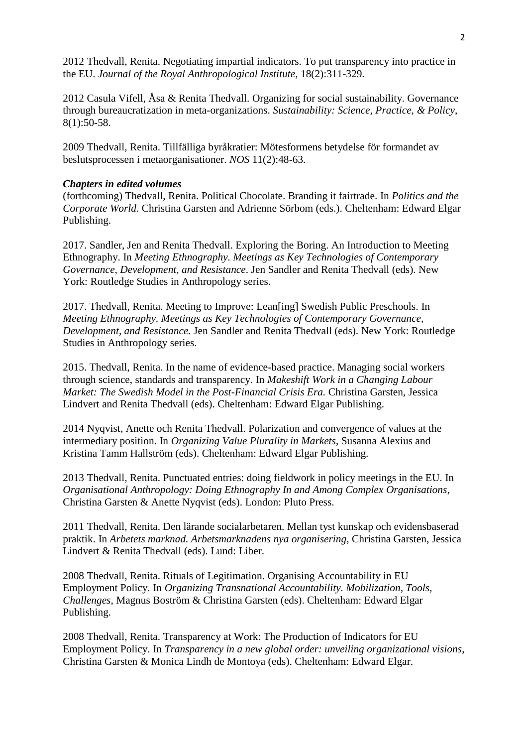2012 Thedvall, Renita. Negotiating impartial indicators. To put transparency into practice in the EU. *Journal of the Royal Anthropological Institute*, 18(2):311-329.

2012 Casula Vifell, Åsa & Renita Thedvall. Organizing for social sustainability. Governance through bureaucratization in meta-organizations. *Sustainability: Science, Practice, & Policy*, 8(1):50-58.

2009 Thedvall, Renita. Tillfälliga byråkratier: Mötesformens betydelse för formandet av beslutsprocessen i metaorganisationer. *NOS* 11(2):48-63.

## *Chapters in edited volumes*

(forthcoming) Thedvall, Renita. Political Chocolate. Branding it fairtrade. In *Politics and the Corporate World*. Christina Garsten and Adrienne Sörbom (eds.). Cheltenham: Edward Elgar Publishing.

2017. Sandler, Jen and Renita Thedvall. Exploring the Boring. An Introduction to Meeting Ethnography. In *Meeting Ethnography. Meetings as Key Technologies of Contemporary Governance, Development, and Resistance*. Jen Sandler and Renita Thedvall (eds). New York: Routledge Studies in Anthropology series.

2017. Thedvall, Renita. Meeting to Improve: Lean[ing] Swedish Public Preschools. In *Meeting Ethnography. Meetings as Key Technologies of Contemporary Governance, Development, and Resistance.* Jen Sandler and Renita Thedvall (eds). New York: Routledge Studies in Anthropology series.

2015. Thedvall, Renita. In the name of evidence-based practice. Managing social workers through science, standards and transparency. In *Makeshift Work in a Changing Labour Market: The Swedish Model in the Post-Financial Crisis Era. Christina Garsten, Jessica* Lindvert and Renita Thedvall (eds). Cheltenham: Edward Elgar Publishing.

2014 Nyqvist, Anette och Renita Thedvall. Polarization and convergence of values at the intermediary position. In *Organizing Value Plurality in Markets*, Susanna Alexius and Kristina Tamm Hallström (eds). Cheltenham: Edward Elgar Publishing.

2013 Thedvall, Renita. Punctuated entries: doing fieldwork in policy meetings in the EU. In *Organisational Anthropology: Doing Ethnography In and Among Complex Organisations*, Christina Garsten & Anette Nyqvist (eds). London: Pluto Press.

2011 Thedvall, Renita. Den lärande socialarbetaren. Mellan tyst kunskap och evidensbaserad praktik. In *Arbetets marknad. Arbetsmarknadens nya organisering*, Christina Garsten, Jessica Lindvert & Renita Thedvall (eds). Lund: Liber.

2008 Thedvall, Renita. Rituals of Legitimation. Organising Accountability in EU Employment Policy. In *Organizing Transnational Accountability. Mobilization, Tools, Challenges*, Magnus Boström & Christina Garsten (eds). Cheltenham: Edward Elgar Publishing.

2008 Thedvall, Renita. Transparency at Work: The Production of Indicators for EU Employment Policy. In *Transparency in a new global order: unveiling organizational visions*, Christina Garsten & Monica Lindh de Montoya (eds). Cheltenham: Edward Elgar.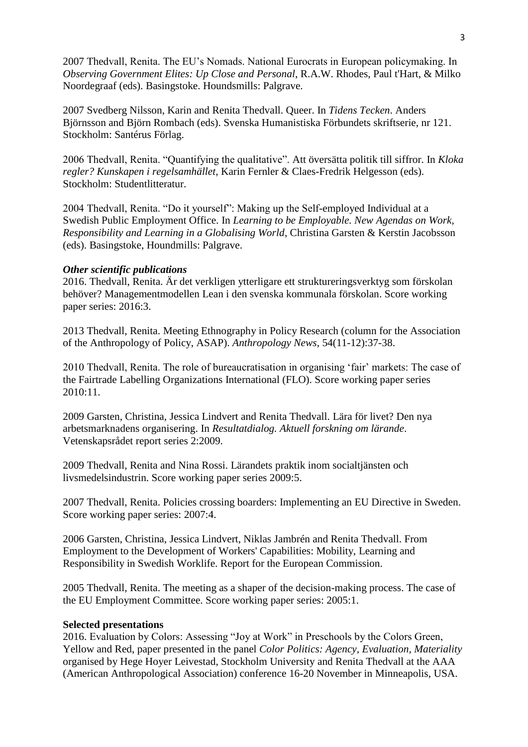2007 Thedvall, Renita. The EU's Nomads. National Eurocrats in European policymaking. In *Observing Government Elites: Up Close and Personal*, R.A.W. Rhodes, Paul t'Hart, & Milko Noordegraaf (eds). Basingstoke. Houndsmills: Palgrave.

2007 Svedberg Nilsson, Karin and Renita Thedvall. Queer. In *Tidens Tecken*. Anders Björnsson and Björn Rombach (eds). Svenska Humanistiska Förbundets skriftserie, nr 121. Stockholm: Santérus Förlag.

2006 Thedvall, Renita. "Quantifying the qualitative". Att översätta politik till siffror. In *Kloka regler? Kunskapen i regelsamhället*, Karin Fernler & Claes-Fredrik Helgesson (eds). Stockholm: Studentlitteratur.

2004 Thedvall, Renita. "Do it yourself": Making up the Self-employed Individual at a Swedish Public Employment Office. In *Learning to be Employable. New Agendas on Work, Responsibility and Learning in a Globalising World*, Christina Garsten & Kerstin Jacobsson (eds). Basingstoke, Houndmills: Palgrave.

## *Other scientific publications*

2016. Thedvall, Renita. Är det verkligen ytterligare ett struktureringsverktyg som förskolan behöver? Managementmodellen Lean i den svenska kommunala förskolan. Score working paper series: 2016:3.

2013 Thedvall, Renita. Meeting Ethnography in Policy Research (column for the Association of the Anthropology of Policy, ASAP). *Anthropology News*, 54(11-12):37-38.

2010 Thedvall, Renita. The role of bureaucratisation in organising 'fair' markets: The case of the Fairtrade Labelling Organizations International (FLO). Score working paper series 2010:11.

2009 Garsten, Christina, Jessica Lindvert and Renita Thedvall. Lära för livet? Den nya arbetsmarknadens organisering. In *Resultatdialog. Aktuell forskning om lärande*. Vetenskapsrådet report series 2:2009.

2009 Thedvall, Renita and Nina Rossi. Lärandets praktik inom socialtjänsten och livsmedelsindustrin. Score working paper series 2009:5.

2007 Thedvall, Renita. Policies crossing boarders: Implementing an EU Directive in Sweden. Score working paper series: 2007:4.

2006 Garsten, Christina, Jessica Lindvert, Niklas Jambrén and Renita Thedvall. From Employment to the Development of Workers' Capabilities: Mobility, Learning and Responsibility in Swedish Worklife. Report for the European Commission.

2005 Thedvall, Renita. The meeting as a shaper of the decision-making process. The case of the EU Employment Committee. Score working paper series: 2005:1.

## **Selected presentations**

2016. Evaluation by Colors: Assessing "Joy at Work" in Preschools by the Colors Green, Yellow and Red, paper presented in the panel *Color Politics: Agency, Evaluation, Materiality* organised by Hege Hoyer Leivestad, Stockholm University and Renita Thedvall at the AAA (American Anthropological Association) conference 16-20 November in Minneapolis, USA.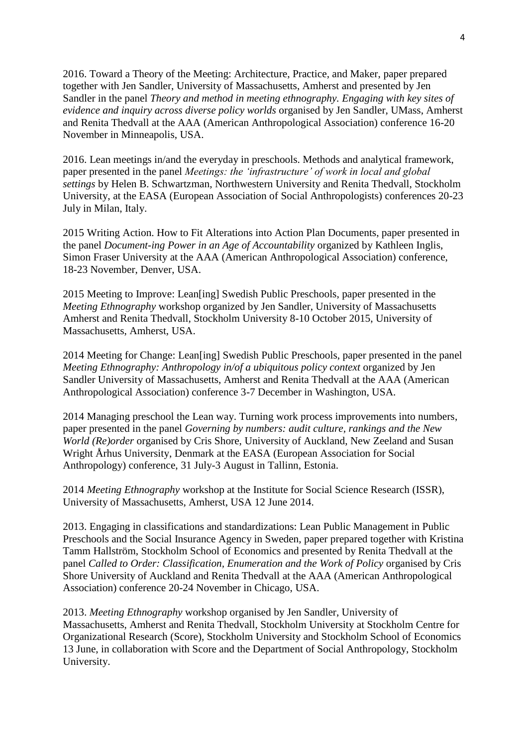2016. Toward a Theory of the Meeting: Architecture, Practice, and Maker, paper prepared together with Jen Sandler, University of Massachusetts, Amherst and presented by Jen Sandler in the panel *Theory and method in meeting ethnography. Engaging with key sites of evidence and inquiry across diverse policy worlds* organised by Jen Sandler, UMass, Amherst and Renita Thedvall at the AAA (American Anthropological Association) conference 16-20 November in Minneapolis, USA.

2016. Lean meetings in/and the everyday in preschools. Methods and analytical framework, paper presented in the panel *Meetings: the 'infrastructure' of work in local and global settings* by Helen B. Schwartzman, Northwestern University and Renita Thedvall, Stockholm University, at the EASA (European Association of Social Anthropologists) conferences 20-23 July in Milan, Italy.

2015 Writing Action. How to Fit Alterations into Action Plan Documents, paper presented in the panel *Document-ing Power in an Age of Accountability* organized by Kathleen Inglis, Simon Fraser University at the AAA (American Anthropological Association) conference, 18-23 November, Denver, USA.

2015 Meeting to Improve: Lean[ing] Swedish Public Preschools, paper presented in the *Meeting Ethnography* workshop organized by Jen Sandler, University of Massachusetts Amherst and Renita Thedvall, Stockholm University 8-10 October 2015, University of Massachusetts, Amherst, USA.

2014 Meeting for Change: Lean[ing] Swedish Public Preschools, paper presented in the panel *Meeting Ethnography: Anthropology in/of a ubiquitous policy context* organized by Jen Sandler University of Massachusetts, Amherst and Renita Thedvall at the AAA (American Anthropological Association) conference 3-7 December in Washington, USA.

2014 Managing preschool the Lean way. Turning work process improvements into numbers, paper presented in the panel *Governing by numbers: audit culture, rankings and the New World (Re)order* organised by Cris Shore, University of Auckland, New Zeeland and Susan Wright Århus University, Denmark at the EASA (European Association for Social Anthropology) conference, 31 July-3 August in Tallinn, Estonia.

2014 *Meeting Ethnography* workshop at the Institute for Social Science Research (ISSR), University of Massachusetts, Amherst, USA 12 June 2014.

2013. Engaging in classifications and standardizations: Lean Public Management in Public Preschools and the Social Insurance Agency in Sweden, paper prepared together with Kristina Tamm Hallström, Stockholm School of Economics and presented by Renita Thedvall at the panel *Called to Order: Classification, Enumeration and the Work of Policy* organised by Cris Shore University of Auckland and Renita Thedvall at the AAA (American Anthropological Association) conference 20-24 November in Chicago, USA.

2013. *Meeting Ethnography* workshop organised by Jen Sandler, University of Massachusetts, Amherst and Renita Thedvall, Stockholm University at Stockholm Centre for Organizational Research (Score), Stockholm University and Stockholm School of Economics 13 June, in collaboration with Score and the Department of Social Anthropology, Stockholm University.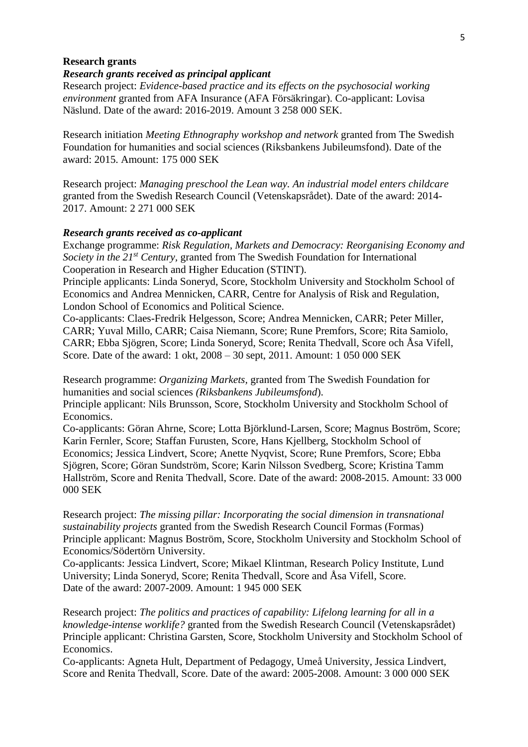### **Research grants**

### *Research grants received as principal applicant*

Research project: *Evidence-based practice and its effects on the psychosocial working environment* granted from AFA Insurance (AFA Försäkringar). Co-applicant: Lovisa Näslund. Date of the award: 2016-2019. Amount 3 258 000 SEK.

Research initiation *Meeting Ethnography workshop and network* granted from The Swedish Foundation for humanities and social sciences (Riksbankens Jubileumsfond). Date of the award: 2015. Amount: 175 000 SEK

Research project: *Managing preschool the Lean way. An industrial model enters childcare* granted from the Swedish Research Council (Vetenskapsrådet). Date of the award: 2014- 2017. Amount: 2 271 000 SEK

#### *Research grants received as co-applicant*

Exchange programme: *Risk Regulation, Markets and Democracy: Reorganising Economy and Society in the 21st Century,* granted from The Swedish Foundation for International Cooperation in Research and Higher Education (STINT).

Principle applicants: Linda Soneryd, Score, Stockholm University and Stockholm School of Economics and Andrea Mennicken, CARR, Centre for Analysis of Risk and Regulation, London School of Economics and Political Science.

Co-applicants: Claes-Fredrik Helgesson, Score; Andrea Mennicken, CARR; Peter Miller, CARR; Yuval Millo, CARR; Caisa Niemann, Score; Rune Premfors, Score; Rita Samiolo, CARR; Ebba Sjögren, Score; Linda Soneryd, Score; Renita Thedvall, Score och Åsa Vifell, Score. Date of the award: 1 okt, 2008 – 30 sept, 2011. Amount: 1 050 000 SEK

Research programme: *Organizing Markets,* granted from The Swedish Foundation for humanities and social sciences *(Riksbankens Jubileumsfond*).

Principle applicant: Nils Brunsson, Score, Stockholm University and Stockholm School of Economics.

Co-applicants: Göran Ahrne, Score; Lotta Björklund-Larsen, Score; Magnus Boström, Score; Karin Fernler, Score; Staffan Furusten, Score, Hans Kjellberg, Stockholm School of Economics; Jessica Lindvert, Score; Anette Nyqvist, Score; Rune Premfors, Score; Ebba Sjögren, Score; Göran Sundström, Score; Karin Nilsson Svedberg, Score; Kristina Tamm Hallström, Score and Renita Thedvall, Score. Date of the award: 2008-2015. Amount: 33 000 000 SEK

Research project: *The missing pillar: Incorporating the social dimension in transnational sustainability projects* granted from the Swedish Research Council Formas (Formas) Principle applicant: Magnus Boström, Score, Stockholm University and Stockholm School of Economics/Södertörn University.

Co-applicants: Jessica Lindvert, Score; Mikael Klintman, Research Policy Institute, Lund University; Linda Soneryd, Score; Renita Thedvall, Score and Åsa Vifell, Score. Date of the award: 2007-2009. Amount: 1 945 000 SEK

Research project: *The politics and practices of capability: Lifelong learning for all in a knowledge-intense worklife?* granted from the Swedish Research Council (Vetenskapsrådet) Principle applicant: Christina Garsten, Score, Stockholm University and Stockholm School of Economics.

Co-applicants: Agneta Hult, Department of Pedagogy, Umeå University, Jessica Lindvert, Score and Renita Thedvall, Score. Date of the award: 2005-2008. Amount: 3 000 000 SEK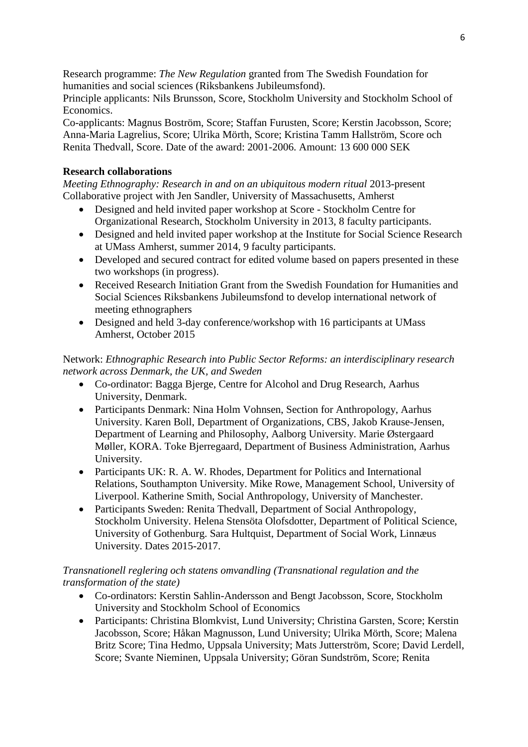Research programme: *The New Regulation* granted from The Swedish Foundation for humanities and social sciences (Riksbankens Jubileumsfond).

Principle applicants: Nils Brunsson, Score, Stockholm University and Stockholm School of Economics.

Co-applicants: Magnus Boström, Score; Staffan Furusten, Score; Kerstin Jacobsson, Score; Anna-Maria Lagrelius, Score; Ulrika Mörth, Score; Kristina Tamm Hallström, Score och Renita Thedvall, Score. Date of the award: 2001-2006. Amount: 13 600 000 SEK

# **Research collaborations**

*Meeting Ethnography: Research in and on an ubiquitous modern ritual* 2013-present Collaborative project with Jen Sandler, University of Massachusetts, Amherst

- Designed and held invited paper workshop at Score Stockholm Centre for Organizational Research, Stockholm University in 2013, 8 faculty participants.
- Designed and held invited paper workshop at the Institute for Social Science Research at UMass Amherst, summer 2014, 9 faculty participants.
- Developed and secured contract for edited volume based on papers presented in these two workshops (in progress).
- Received Research Initiation Grant from the Swedish Foundation for Humanities and Social Sciences Riksbankens Jubileumsfond to develop international network of meeting ethnographers
- Designed and held 3-day conference/workshop with 16 participants at UMass Amherst, October 2015

Network: *Ethnographic Research into Public Sector Reforms: an interdisciplinary research network across Denmark, the UK, and Sweden*

- Co-ordinator: Bagga Bjerge, Centre for Alcohol and Drug Research, Aarhus University, Denmark.
- Participants Denmark: Nina Holm Vohnsen, Section for Anthropology, Aarhus University. Karen Boll, Department of Organizations, CBS, Jakob Krause-Jensen, Department of Learning and Philosophy, Aalborg University. Marie Østergaard Møller, KORA. Toke Bjerregaard, Department of Business Administration, Aarhus University.
- Participants UK: R. A. W. Rhodes, Department for Politics and International Relations, Southampton University. Mike Rowe, Management School, University of Liverpool. Katherine Smith, Social Anthropology, University of Manchester.
- Participants Sweden: Renita Thedvall, Department of Social Anthropology, Stockholm University. Helena Stensöta Olofsdotter, Department of Political Science, University of Gothenburg. Sara Hultquist, Department of Social Work, Linnæus University. Dates 2015-2017.

# *Transnationell reglering och statens omvandling (Transnational regulation and the transformation of the state)*

- Co-ordinators: Kerstin Sahlin-Andersson and Bengt Jacobsson, Score, Stockholm University and Stockholm School of Economics
- Participants: Christina Blomkvist, Lund University; Christina Garsten, Score; Kerstin Jacobsson, Score; Håkan Magnusson, Lund University; Ulrika Mörth, Score; Malena Britz Score; Tina Hedmo, Uppsala University; Mats Jutterström, Score; David Lerdell, Score; Svante Nieminen, Uppsala University; Göran Sundström, Score; Renita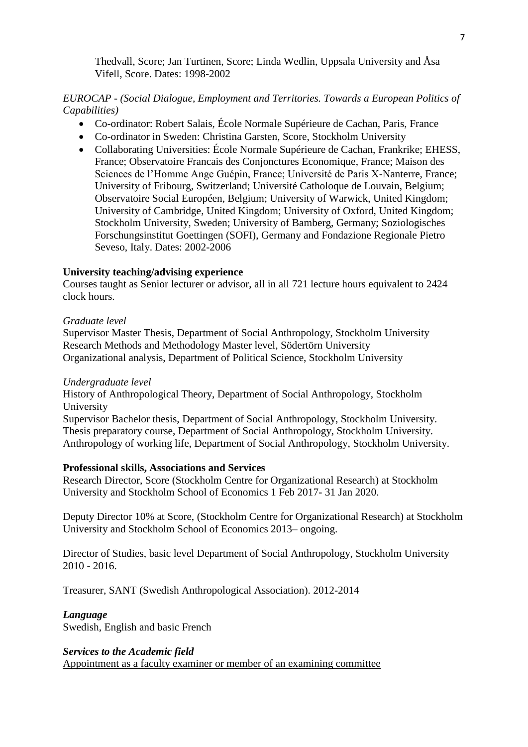Thedvall, Score; Jan Turtinen, Score; Linda Wedlin, Uppsala University and Åsa Vifell, Score. Dates: 1998-2002

# *EUROCAP - (Social Dialogue, Employment and Territories. Towards a European Politics of Capabilities)*

- Co-ordinator: Robert Salais, École Normale Supérieure de Cachan, Paris, France
- Co-ordinator in Sweden: Christina Garsten, Score, Stockholm University
- Collaborating Universities: École Normale Supérieure de Cachan, Frankrike; EHESS, France; Observatoire Francais des Conjonctures Economique, France; Maison des Sciences de l'Homme Ange Guépin, France; Université de Paris X-Nanterre, France; University of Fribourg, Switzerland; Université Catholoque de Louvain, Belgium; Observatoire Social Européen, Belgium; University of Warwick, United Kingdom; University of Cambridge, United Kingdom; University of Oxford, United Kingdom; Stockholm University, Sweden; University of Bamberg, Germany; Soziologisches Forschungsinstitut Goettingen (SOFI), Germany and Fondazione Regionale Pietro Seveso, Italy. Dates: 2002-2006

## **University teaching/advising experience**

Courses taught as Senior lecturer or advisor, all in all 721 lecture hours equivalent to 2424 clock hours.

## *Graduate level*

Supervisor Master Thesis, Department of Social Anthropology, Stockholm University Research Methods and Methodology Master level, Södertörn University Organizational analysis, Department of Political Science, Stockholm University

## *Undergraduate level*

History of Anthropological Theory, Department of Social Anthropology, Stockholm University

Supervisor Bachelor thesis, Department of Social Anthropology, Stockholm University. Thesis preparatory course, Department of Social Anthropology, Stockholm University. Anthropology of working life, Department of Social Anthropology, Stockholm University.

## **Professional skills, Associations and Services**

Research Director, Score (Stockholm Centre for Organizational Research) at Stockholm University and Stockholm School of Economics 1 Feb 2017- 31 Jan 2020.

Deputy Director 10% at Score, (Stockholm Centre for Organizational Research) at Stockholm University and Stockholm School of Economics 2013– ongoing.

Director of Studies, basic level Department of Social Anthropology, Stockholm University 2010 - 2016.

Treasurer, SANT (Swedish Anthropological Association). 2012-2014

## *Language*

Swedish, English and basic French

## *Services to the Academic field*

Appointment as a faculty examiner or member of an examining committee